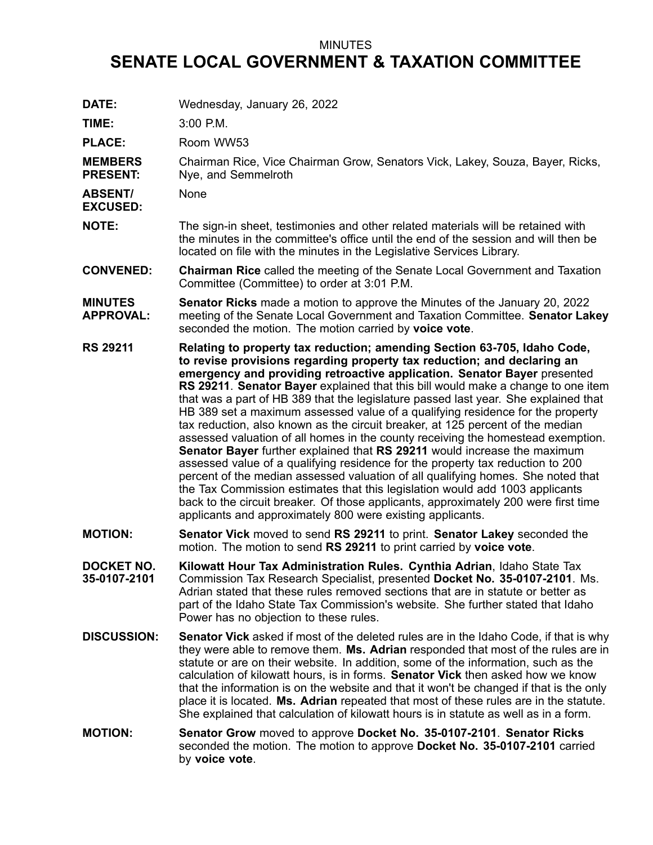## MINUTES

## **SENATE LOCAL GOVERNMENT & TAXATION COMMITTEE**

**DATE:** Wednesday, January 26, 2022 **TIME:** 3:00 P.M. **PLACE:** Room WW53 **MEMBERS PRESENT:** Chairman Rice, Vice Chairman Grow, Senators Vick, Lakey, Souza, Bayer, Ricks, Nye, and Semmelroth **ABSENT/ EXCUSED:** None **NOTE:** The sign-in sheet, testimonies and other related materials will be retained with the minutes in the committee's office until the end of the session and will then be located on file with the minutes in the Legislative Services Library. **CONVENED: Chairman Rice** called the meeting of the Senate Local Government and Taxation Committee (Committee) to order at 3:01 P.M. **MINUTES APPROVAL: Senator Ricks** made <sup>a</sup> motion to approve the Minutes of the January 20, 2022 meeting of the Senate Local Government and Taxation Committee. **Senator Lakey** seconded the motion. The motion carried by **voice vote**. **RS 29211 Relating to property tax reduction; amending Section 63-705, Idaho Code, to revise provisions regarding property tax reduction; and declaring an emergency and providing retroactive application. Senator Bayer** presented **RS 29211**. **Senator Bayer** explained that this bill would make <sup>a</sup> change to one item that was <sup>a</sup> part of HB 389 that the legislature passed last year. She explained that HB 389 set <sup>a</sup> maximum assessed value of <sup>a</sup> qualifying residence for the property tax reduction, also known as the circuit breaker, at 125 percent of the median assessed valuation of all homes in the county receiving the homestead exemption. **Senator Bayer** further explained that **RS 29211** would increase the maximum assessed value of <sup>a</sup> qualifying residence for the property tax reduction to 200 percent of the median assessed valuation of all qualifying homes. She noted that the Tax Commission estimates that this legislation would add 1003 applicants back to the circuit breaker. Of those applicants, approximately 200 were first time applicants and approximately 800 were existing applicants. **MOTION: Senator Vick** moved to send **RS 29211** to print. **Senator Lakey** seconded the motion. The motion to send **RS 29211** to print carried by **voice vote**. **DOCKET NO. 35-0107-2101 Kilowatt Hour Tax Administration Rules. Cynthia Adrian**, Idaho State Tax Commission Tax Research Specialist, presented **Docket No. 35-0107-2101**. Ms. Adrian stated that these rules removed sections that are in statute or better as part of the Idaho State Tax Commission's website. She further stated that Idaho Power has no objection to these rules. **DISCUSSION: Senator Vick** asked if most of the deleted rules are in the Idaho Code, if that is why they were able to remove them. **Ms. Adrian** responded that most of the rules are in statute or are on their website. In addition, some of the information, such as the calculation of kilowatt hours, is in forms. **Senator Vick** then asked how we know that the information is on the website and that it won't be changed if that is the only place it is located. **Ms. Adrian** repeated that most of these rules are in the statute. She explained that calculation of kilowatt hours is in statute as well as in <sup>a</sup> form. **MOTION: Senator Grow** moved to approve **Docket No. 35-0107-2101**. **Senator Ricks** seconded the motion. The motion to approve **Docket No. 35-0107-2101** carried by **voice vote**.